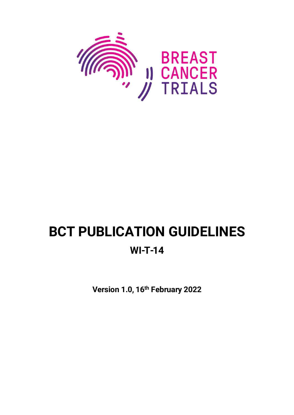

# **BCT PUBLICATION GUIDELINES**

# **WI-T-14**

**Version 1.0, 16th February 2022**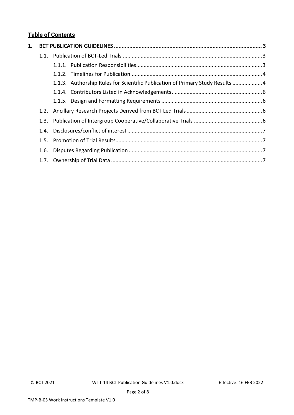# **Table of Contents**

| 1. |      |                                                                               |  |
|----|------|-------------------------------------------------------------------------------|--|
|    |      |                                                                               |  |
|    |      |                                                                               |  |
|    |      |                                                                               |  |
|    |      | 1.1.3. Authorship Rules for Scientific Publication of Primary Study Results 4 |  |
|    |      |                                                                               |  |
|    |      |                                                                               |  |
|    |      |                                                                               |  |
|    |      |                                                                               |  |
|    | 1.4. |                                                                               |  |
|    |      |                                                                               |  |
|    | 1.6. |                                                                               |  |
|    |      |                                                                               |  |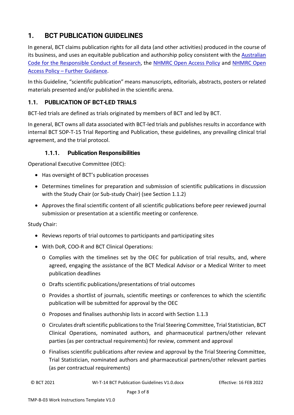# <span id="page-2-0"></span>**1. BCT PUBLICATION GUIDELINES**

In general, BCT claims publication rights for all data (and other activities) produced in the course of its business, and uses an equitable publication and authorship policy consistent with the Australian [Code for the Responsible Conduct of Research,](https://www.nhmrc.gov.au/about-us/publications/australian-code-responsible-conduct-research-2018) the [NHMRC Open Access Policy](https://www.nhmrc.gov.au/about-us/resources/open-access-policy) and [NHMRC Open](https://www.nhmrc.gov.au/about-us/resources/open-access-policy)  Access Policy – [Further Guidance.](https://www.nhmrc.gov.au/about-us/resources/open-access-policy)

In this Guideline, "scientific publication" means manuscripts, editorials, abstracts, posters or related materials presented and/or published in the scientific arena.

### <span id="page-2-1"></span>**1.1. PUBLICATION OF BCT-LED TRIALS**

BCT-led trials are defined as trials originated by members of BCT and led by BCT.

In general, BCT owns all data associated with BCT-led trials and publishes results in accordance with internal BCT SOP-T-15 Trial Reporting and Publication, these guidelines, any prevailing clinical trial agreement, and the trial protocol.

#### **1.1.1. Publication Responsibilities**

<span id="page-2-2"></span>Operational Executive Committee (OEC):

- Has oversight of BCT's publication processes
- Determines timelines for preparation and submission of scientific publications in discussion with the Study Chair (or Sub-study Chair) (see Section [1.1.2\)](#page-3-0)
- Approves the final scientific content of all scientific publications before peer reviewed journal submission or presentation at a scientific meeting or conference.

Study Chair:

- Reviews reports of trial outcomes to participants and participating sites
- With DoR, COO-R and BCT Clinical Operations:
	- o Complies with the timelines set by the OEC for publication of trial results, and, where agreed, engaging the assistance of the BCT Medical Advisor or a Medical Writer to meet publication deadlines
	- o Drafts scientific publications/presentations of trial outcomes
	- o Provides a shortlist of journals, scientific meetings or conferences to which the scientific publication will be submitted for approval by the OEC
	- o Proposes and finalises authorship lists in accord with Section [1.1.3](#page-3-1)
	- o Circulates draft scientific publications to the Trial Steering Committee, Trial Statistician, BCT Clinical Operations, nominated authors, and pharmaceutical partners/other relevant parties (as per contractual requirements) for review, comment and approval
	- o Finalises scientific publications after review and approval by the Trial Steering Committee, Trial Statistician, nominated authors and pharmaceutical partners/other relevant parties (as per contractual requirements)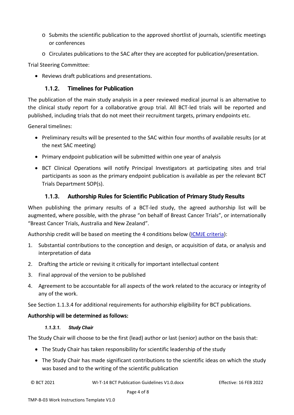- o Submits the scientific publication to the approved shortlist of journals, scientific meetings or conferences
- o Circulates publications to the SAC after they are accepted for publication/presentation.

Trial Steering Committee:

• Reviews draft publications and presentations.

#### **1.1.2. Timelines for Publication**

<span id="page-3-0"></span>The publication of the main study analysis in a peer reviewed medical journal is an alternative to the clinical study report for a collaborative group trial. All BCT-led trials will be reported and published, including trials that do not meet their recruitment targets, primary endpoints etc.

General timelines:

- Preliminary results will be presented to the SAC within four months of available results (or at the next SAC meeting)
- Primary endpoint publication will be submitted within one year of analysis
- BCT Clinical Operations will notify Principal Investigators at participating sites and trial participants as soon as the primary endpoint publication is available as per the relevant BCT Trials Department SOP(s).

#### **1.1.3. Authorship Rules for Scientific Publication of Primary Study Results**

<span id="page-3-1"></span>When publishing the primary results of a BCT-led study, the agreed authorship list will be augmented, where possible, with the phrase "on behalf of Breast Cancer Trials", or internationally "Breast Cancer Trials, Australia and New Zealand".

Authorship credit will be based on meeting the 4 conditions below [\(ICMJE criteria\)](http://www.icmje.org/recommendations/browse/roles-and-responsibilities/defining-the-role-of-authors-and-contributors.html):

- 1. Substantial contributions to the conception and design, or acquisition of data, or analysis and interpretation of data
- 2. Drafting the article or revising it critically for important intellectual content
- 3. Final approval of the version to be published
- 4. Agreement to be accountable for all aspects of the work related to the accuracy or integrity of any of the work.

See Section [1.1.3.4](#page-4-0) for additional requirements for authorship eligibility for BCT publications.

#### Authorship will be determined as follows:

#### *1.1.3.1. Study Chair*

The Study Chair will choose to be the first (lead) author or last (senior) author on the basis that:

- The Study Chair has taken responsibility for scientific leadership of the study
- The Study Chair has made significant contributions to the scientific ideas on which the study was based and to the writing of the scientific publication

© BCT 2021 WI-T-14 BCT Publication Guidelines V1.0.docx Effective: 16 FEB 2022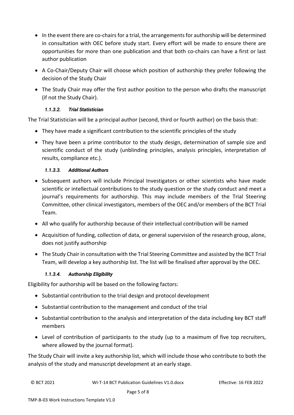- In the event there are co-chairs for a trial, the arrangements for authorship will be determined in consultation with OEC before study start. Every effort will be made to ensure there are opportunities for more than one publication and that both co-chairs can have a first or last author publication
- A Co-Chair/Deputy Chair will choose which position of authorship they prefer following the decision of the Study Chair
- The Study Chair may offer the first author position to the person who drafts the manuscript (if not the Study Chair).

#### *1.1.3.2. Trial Statistician*

The Trial Statistician will be a principal author (second, third or fourth author) on the basis that:

- They have made a significant contribution to the scientific principles of the study
- They have been a prime contributor to the study design, determination of sample size and scientific conduct of the study (unblinding principles, analysis principles, interpretation of results, compliance etc.).

#### *1.1.3.3. Additional Authors*

- Subsequent authors will include Principal Investigators or other scientists who have made scientific or intellectual contributions to the study question or the study conduct and meet a journal's requirements for authorship. This may include members of the Trial Steering Committee, other clinical investigators, members of the OEC and/or members of the BCT Trial Team.
- All who qualify for authorship because of their intellectual contribution will be named
- Acquisition of funding, collection of data, or general supervision of the research group, alone, does not justify authorship
- The Study Chair in consultation with the Trial Steering Committee and assisted by the BCT Trial Team, will develop a key authorship list. The list will be finalised after approval by the OEC.

#### *1.1.3.4. Authorship Eligibility*

<span id="page-4-0"></span>Eligibility for authorship will be based on the following factors:

- Substantial contribution to the trial design and protocol development
- Substantial contribution to the management and conduct of the trial
- Substantial contribution to the analysis and interpretation of the data including key BCT staff members
- Level of contribution of participants to the study (up to a maximum of five top recruiters, where allowed by the journal format).

The Study Chair will invite a key authorship list, which will include those who contribute to both the analysis of the study and manuscript development at an early stage.

© BCT 2021 WI-T-14 BCT Publication Guidelines V1.0.docx Effective: 16 FEB 2022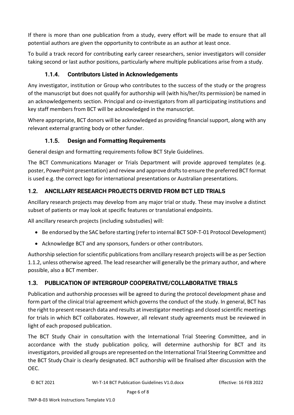If there is more than one publication from a study, every effort will be made to ensure that all potential authors are given the opportunity to contribute as an author at least once.

To build a track record for contributing early career researchers, senior investigators will consider taking second or last author positions, particularly where multiple publications arise from a study.

# **1.1.4. Contributors Listed in Acknowledgements**

<span id="page-5-0"></span>Any investigator, institution or Group who contributes to the success of the study or the progress of the manuscript but does not qualify for authorship will (with his/her/its permission) be named in an acknowledgements section. Principal and co-investigators from all participating institutions and key staff members from BCT will be acknowledged in the manuscript.

Where appropriate, BCT donors will be acknowledged as providing financial support, along with any relevant external granting body or other funder.

# **1.1.5. Design and Formatting Requirements**

<span id="page-5-1"></span>General design and formatting requirements follow BCT Style Guidelines.

The BCT Communications Manager or Trials Department will provide approved templates (e.g. poster, PowerPoint presentation) and review and approve drafts to ensure the preferred BCT format is used e.g. the correct logo for international presentations or Australian presentations.

# <span id="page-5-2"></span>**1.2. ANCILLARY RESEARCH PROJECTS DERIVED FROM BCT LED TRIALS**

Ancillary research projects may develop from any major trial or study. These may involve a distinct subset of patients or may look at specific features or translational endpoints.

All ancillary research projects (including substudies) will:

- Be endorsed by the SAC before starting (refer to internal BCT SOP-T-01 Protocol Development)
- Acknowledge BCT and any sponsors, funders or other contributors.

Authorship selection for scientific publications from ancillary research projects will be as per Section [1.1.2,](#page-3-1) unless otherwise agreed. The lead researcher will generally be the primary author, and where possible, also a BCT member.

# <span id="page-5-3"></span>**1.3. PUBLICATION OF INTERGROUP COOPERATIVE/COLLABORATIVE TRIALS**

Publication and authorship processes will be agreed to during the protocol development phase and form part of the clinical trial agreement which governs the conduct of the study. In general, BCT has the right to present research data and results at investigator meetings and closed scientific meetings for trials in which BCT collaborates. However, all relevant study agreements must be reviewed in light of each proposed publication.

The BCT Study Chair in consultation with the International Trial Steering Committee, and in accordance with the study publication policy, will determine authorship for BCT and its investigators, provided all groups are represented on the International Trial Steering Committee and the BCT Study Chair is clearly designated. BCT authorship will be finalised after discussion with the OEC.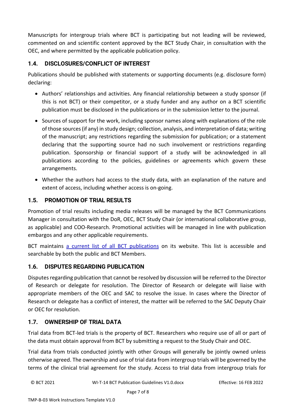Manuscripts for intergroup trials where BCT is participating but not leading will be reviewed, commented on and scientific content approved by the BCT Study Chair, in consultation with the OEC, and where permitted by the applicable publication policy.

# <span id="page-6-0"></span>**1.4. DISCLOSURES/CONFLICT OF INTEREST**

Publications should be published with statements or supporting documents (e.g. disclosure form) declaring:

- Authors' relationships and activities. Any financial relationship between a study sponsor (if this is not BCT) or their competitor, or a study funder and any author on a BCT scientific publication must be disclosed in the publications or in the submission letter to the journal.
- Sources of support for the work, including sponsor names along with explanations of the role of those sources (if any) in study design; collection, analysis, and interpretation of data; writing of the manuscript; any restrictions regarding the submission for publication; or a statement declaring that the supporting source had no such involvement or restrictions regarding publication. Sponsorship or financial support of a study will be acknowledged in all publications according to the policies, guidelines or agreements which govern these arrangements.
- Whether the authors had access to the study data, with an explanation of the nature and extent of access, including whether access is on-going.

# <span id="page-6-1"></span>**1.5. PROMOTION OF TRIAL RESULTS**

Promotion of trial results including media releases will be managed by the BCT Communications Manager in consultation with the DoR, OEC, BCT Study Chair (or international collaborative group, as applicable) and COO-Research. Promotional activities will be managed in line with publication embargos and any other applicable requirements.

BCT maintains a current [list of all BCT publications](https://www.breastcancertrials.org.au/publications) on its website. This list is accessible and searchable by both the public and BCT Members.

#### <span id="page-6-2"></span>**1.6. DISPUTES REGARDING PUBLICATION**

Disputes regarding publication that cannot be resolved by discussion will be referred to the Director of Research or delegate for resolution. The Director of Research or delegate will liaise with appropriate members of the OEC and SAC to resolve the issue. In cases where the Director of Research or delegate has a conflict of interest, the matter will be referred to the SAC Deputy Chair or OEC for resolution.

#### <span id="page-6-3"></span>**1.7. OWNERSHIP OF TRIAL DATA**

Trial data from BCT-led trials is the property of BCT. Researchers who require use of all or part of the data must obtain approval from BCT by submitting a request to the Study Chair and OEC.

Trial data from trials conducted jointly with other Groups will generally be jointly owned unless otherwise agreed. The ownership and use of trial data from intergroup trials will be governed by the terms of the clinical trial agreement for the study. Access to trial data from intergroup trials for